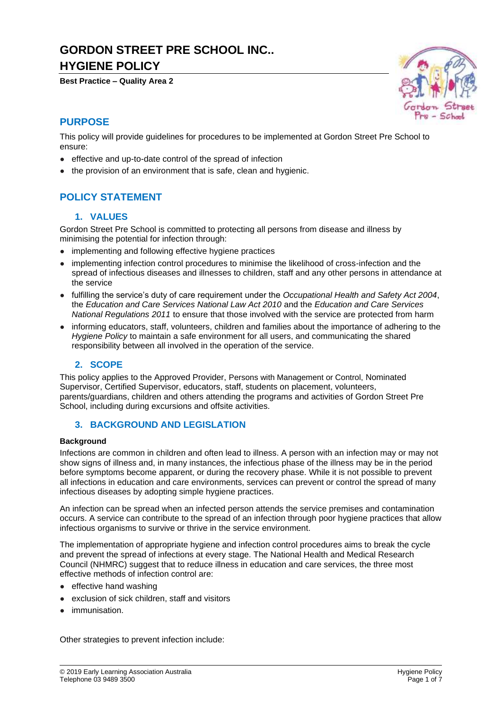# **GORDON STREET PRE SCHOOL INC.. HYGIENE POLICY**

**Best Practice – Quality Area 2**



# **PURPOSE**

This policy will provide guidelines for procedures to be implemented at Gordon Street Pre School to ensure:

- effective and up-to-date control of the spread of infection
- the provision of an environment that is safe, clean and hygienic.

# **POLICY STATEMENT**

### **1. VALUES**

Gordon Street Pre School is committed to protecting all persons from disease and illness by minimising the potential for infection through:

- implementing and following effective hygiene practices
- implementing infection control procedures to minimise the likelihood of cross-infection and the spread of infectious diseases and illnesses to children, staff and any other persons in attendance at the service
- fulfilling the service's duty of care requirement under the *Occupational Health and Safety Act 2004*, the *Education and Care Services National Law Act 2010* and the *Education and Care Services National Regulations 2011* to ensure that those involved with the service are protected from harm
- informing educators, staff, volunteers, children and families about the importance of adhering to the *Hygiene Policy* to maintain a safe environment for all users, and communicating the shared responsibility between all involved in the operation of the service.

### **2. SCOPE**

This policy applies to the Approved Provider, Persons with Management or Control, Nominated Supervisor, Certified Supervisor, educators, staff, students on placement, volunteers, parents/guardians, children and others attending the programs and activities of Gordon Street Pre School, including during excursions and offsite activities.

#### **3. BACKGROUND AND LEGISLATION**

#### **Background**

Infections are common in children and often lead to illness. A person with an infection may or may not show signs of illness and, in many instances, the infectious phase of the illness may be in the period before symptoms become apparent, or during the recovery phase. While it is not possible to prevent all infections in education and care environments, services can prevent or control the spread of many infectious diseases by adopting simple hygiene practices.

An infection can be spread when an infected person attends the service premises and contamination occurs. A service can contribute to the spread of an infection through poor hygiene practices that allow infectious organisms to survive or thrive in the service environment.

The implementation of appropriate hygiene and infection control procedures aims to break the cycle and prevent the spread of infections at every stage. The National Health and Medical Research Council (NHMRC) suggest that to reduce illness in education and care services, the three most effective methods of infection control are:

- effective hand washing
- exclusion of sick children, staff and visitors
- immunisation.

Other strategies to prevent infection include: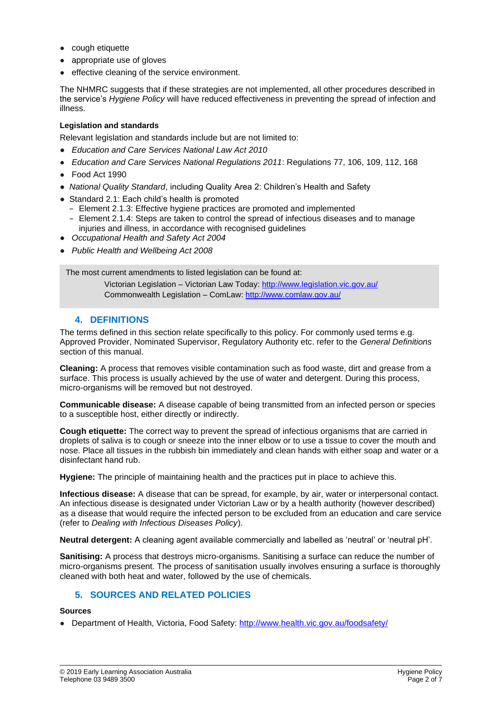- cough etiquette
- appropriate use of gloves
- effective cleaning of the service environment.

The NHMRC suggests that if these strategies are not implemented, all other procedures described in the service's *Hygiene Policy* will have reduced effectiveness in preventing the spread of infection and illness.

#### **Legislation and standards**

Relevant legislation and standards include but are not limited to:

- *Education and Care Services National Law Act 2010*
- *Education and Care Services National Regulations 2011*: Regulations 77, 106, 109, 112, 168
- Food Act 1990
- *National Quality Standard*, including Quality Area 2: Children's Health and Safety
- Standard 2.1: Each child's health is promoted
	- − Element 2.1.3: Effective hygiene practices are promoted and implemented
	- − Element 2.1.4: Steps are taken to control the spread of infectious diseases and to manage injuries and illness, in accordance with recognised guidelines
- *Occupational Health and Safety Act 2004*
- *Public Health and Wellbeing Act 2008*

The most current amendments to listed legislation can be found at:

Victorian Legislation – Victorian Law Today: http://www.legislation.vic.gov.au/ Commonwealth Legislation – ComLaw: http://www.comlaw.gov.au/

#### **4. DEFINITIONS**

The terms defined in this section relate specifically to this policy. For commonly used terms e.g. Approved Provider, Nominated Supervisor, Regulatory Authority etc. refer to the *General Definitions* section of this manual.

**Cleaning:** A process that removes visible contamination such as food waste, dirt and grease from a surface. This process is usually achieved by the use of water and detergent. During this process, micro-organisms will be removed but not destroyed.

**Communicable disease:** A disease capable of being transmitted from an infected person or species to a susceptible host, either directly or indirectly.

**Cough etiquette:** The correct way to prevent the spread of infectious organisms that are carried in droplets of saliva is to cough or sneeze into the inner elbow or to use a tissue to cover the mouth and nose. Place all tissues in the rubbish bin immediately and clean hands with either soap and water or a disinfectant hand rub.

**Hygiene:** The principle of maintaining health and the practices put in place to achieve this.

**Infectious disease:** A disease that can be spread, for example, by air, water or interpersonal contact. An infectious disease is designated under Victorian Law or by a health authority (however described) as a disease that would require the infected person to be excluded from an education and care service (refer to *Dealing with Infectious Diseases Policy*).

**Neutral detergent:** A cleaning agent available commercially and labelled as 'neutral' or 'neutral pH'.

**Sanitising:** A process that destroys micro-organisms. Sanitising a surface can reduce the number of micro-organisms present. The process of sanitisation usually involves ensuring a surface is thoroughly cleaned with both heat and water, followed by the use of chemicals.

### **5. SOURCES AND RELATED POLICIES**

#### **Sources**

● Department of Health, Victoria, Food Safety:<http://www.health.vic.gov.au/foodsafety/>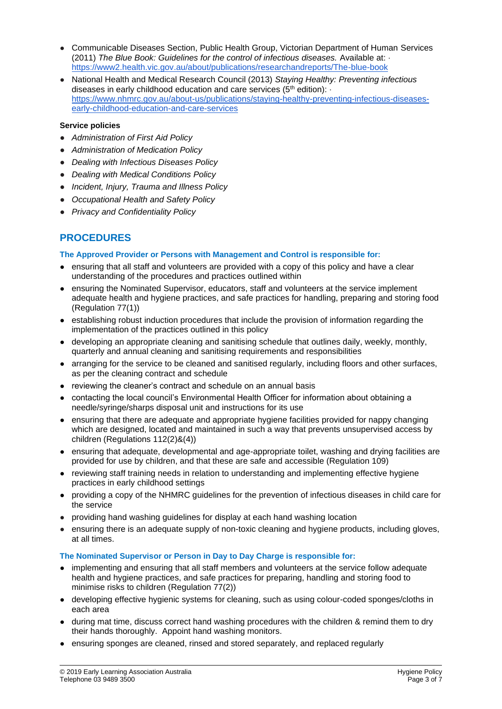- Communicable Diseases Section, Public Health Group, Victorian Department of Human Services (2011) *The Blue Book: Guidelines for the control of infectious diseases.* Available at: · <https://www2.health.vic.gov.au/about/publications/researchandreports/The-blue-book>
- National Health and Medical Research Council (2013) *Staying Healthy: Preventing infectious*  diseases in early childhood education and care services ( $5<sup>th</sup>$  edition): [https://www.nhmrc.gov.au/about-us/publications/staying-healthy-preventing-infectious-diseases](https://www.nhmrc.gov.au/about-us/publications/staying-healthy-preventing-infectious-diseases-early-childhood-education-and-care-services)[early-childhood-education-and-care-services](https://www.nhmrc.gov.au/about-us/publications/staying-healthy-preventing-infectious-diseases-early-childhood-education-and-care-services)

#### **Service policies**

- *Administration of First Aid Policy*
- *Administration of Medication Policy*
- *Dealing with Infectious Diseases Policy*
- *Dealing with Medical Conditions Policy*
- *Incident, Injury, Trauma and Illness Policy*
- *Occupational Health and Safety Policy*
- *Privacy and Confidentiality Policy*

# **PROCEDURES**

#### **The Approved Provider or Persons with Management and Control is responsible for:**

- ensuring that all staff and volunteers are provided with a copy of this policy and have a clear understanding of the procedures and practices outlined within
- ensuring the Nominated Supervisor, educators, staff and volunteers at the service implement adequate health and hygiene practices, and safe practices for handling, preparing and storing food (Regulation 77(1))
- establishing robust induction procedures that include the provision of information regarding the implementation of the practices outlined in this policy
- developing an appropriate cleaning and sanitising schedule that outlines daily, weekly, monthly, quarterly and annual cleaning and sanitising requirements and responsibilities
- arranging for the service to be cleaned and sanitised regularly, including floors and other surfaces, as per the cleaning contract and schedule
- reviewing the cleaner's contract and schedule on an annual basis
- contacting the local council's Environmental Health Officer for information about obtaining a needle/syringe/sharps disposal unit and instructions for its use
- ensuring that there are adequate and appropriate hygiene facilities provided for nappy changing which are designed, located and maintained in such a way that prevents unsupervised access by children (Regulations 112(2)&(4))
- ensuring that adequate, developmental and age-appropriate toilet, washing and drying facilities are provided for use by children, and that these are safe and accessible (Regulation 109)
- reviewing staff training needs in relation to understanding and implementing effective hygiene practices in early childhood settings
- providing a copy of the NHMRC guidelines for the prevention of infectious diseases in child care for the service
- providing hand washing guidelines for display at each hand washing location
- ensuring there is an adequate supply of non-toxic cleaning and hygiene products, including gloves, at all times.

#### **The Nominated Supervisor or Person in Day to Day Charge is responsible for:**

- implementing and ensuring that all staff members and volunteers at the service follow adequate health and hygiene practices, and safe practices for preparing, handling and storing food to minimise risks to children (Regulation 77(2))
- developing effective hygienic systems for cleaning, such as using colour-coded sponges/cloths in each area
- during mat time, discuss correct hand washing procedures with the children & remind them to dry their hands thoroughly. Appoint hand washing monitors.
- ensuring sponges are cleaned, rinsed and stored separately, and replaced regularly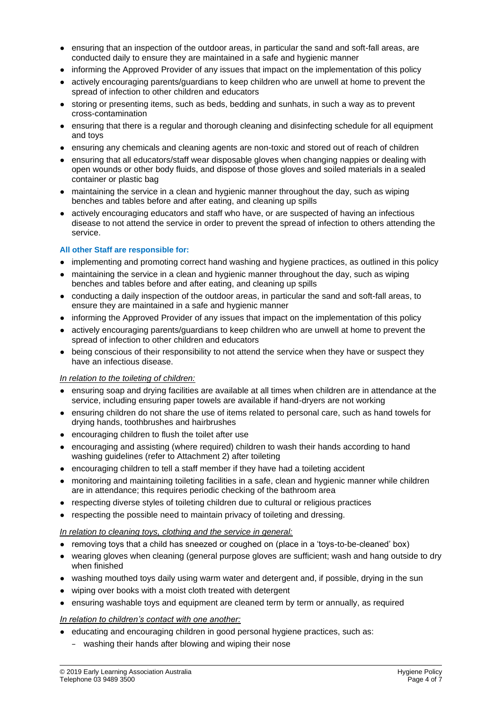- ensuring that an inspection of the outdoor areas, in particular the sand and soft-fall areas, are conducted daily to ensure they are maintained in a safe and hygienic manner
- informing the Approved Provider of any issues that impact on the implementation of this policy
- actively encouraging parents/guardians to keep children who are unwell at home to prevent the spread of infection to other children and educators
- storing or presenting items, such as beds, bedding and sunhats, in such a way as to prevent cross-contamination
- ensuring that there is a regular and thorough cleaning and disinfecting schedule for all equipment and toys
- ensuring any chemicals and cleaning agents are non-toxic and stored out of reach of children
- ensuring that all educators/staff wear disposable gloves when changing nappies or dealing with open wounds or other body fluids, and dispose of those gloves and soiled materials in a sealed container or plastic bag
- maintaining the service in a clean and hygienic manner throughout the day, such as wiping benches and tables before and after eating, and cleaning up spills
- actively encouraging educators and staff who have, or are suspected of having an infectious disease to not attend the service in order to prevent the spread of infection to others attending the service.

#### **All other Staff are responsible for:**

- implementing and promoting correct hand washing and hygiene practices, as outlined in this policy
- maintaining the service in a clean and hygienic manner throughout the day, such as wiping benches and tables before and after eating, and cleaning up spills
- conducting a daily inspection of the outdoor areas, in particular the sand and soft-fall areas, to ensure they are maintained in a safe and hygienic manner
- informing the Approved Provider of any issues that impact on the implementation of this policy
- actively encouraging parents/guardians to keep children who are unwell at home to prevent the spread of infection to other children and educators
- being conscious of their responsibility to not attend the service when they have or suspect they have an infectious disease.

#### *In relation to the toileting of children:*

- ensuring soap and drying facilities are available at all times when children are in attendance at the service, including ensuring paper towels are available if hand-dryers are not working
- ensuring children do not share the use of items related to personal care, such as hand towels for drying hands, toothbrushes and hairbrushes
- encouraging children to flush the toilet after use
- encouraging and assisting (where required) children to wash their hands according to hand washing guidelines (refer to Attachment 2) after toileting
- encouraging children to tell a staff member if they have had a toileting accident
- monitoring and maintaining toileting facilities in a safe, clean and hygienic manner while children are in attendance; this requires periodic checking of the bathroom area
- respecting diverse styles of toileting children due to cultural or religious practices
- respecting the possible need to maintain privacy of toileting and dressing.

#### *In relation to cleaning toys, clothing and the service in general:*

- removing toys that a child has sneezed or coughed on (place in a 'toys-to-be-cleaned' box)
- wearing gloves when cleaning (general purpose gloves are sufficient; wash and hang outside to dry when finished
- washing mouthed toys daily using warm water and detergent and, if possible, drying in the sun
- wiping over books with a moist cloth treated with detergent
- ensuring washable toys and equipment are cleaned term by term or annually, as required

#### *In relation to children's contact with one another:*

- educating and encouraging children in good personal hygiene practices, such as:
	- washing their hands after blowing and wiping their nose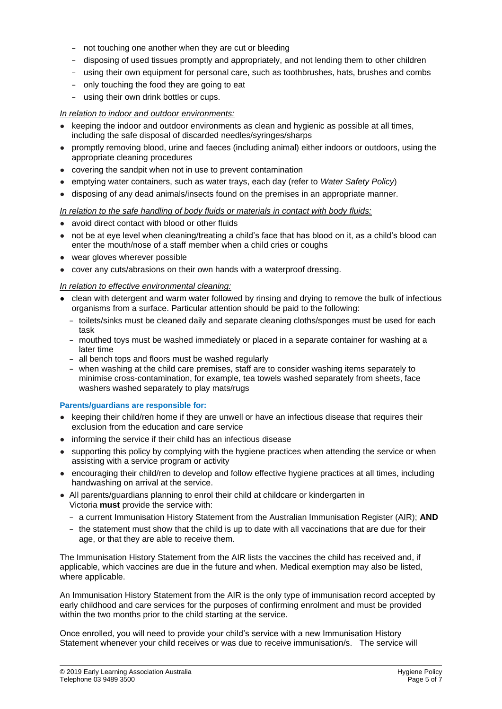- − not touching one another when they are cut or bleeding
- − disposing of used tissues promptly and appropriately, and not lending them to other children
- − using their own equipment for personal care, such as toothbrushes, hats, brushes and combs
- − only touching the food they are going to eat
- − using their own drink bottles or cups.

#### *In relation to indoor and outdoor environments:*

- keeping the indoor and outdoor environments as clean and hygienic as possible at all times. including the safe disposal of discarded needles/syringes/sharps
- promptly removing blood, urine and faeces (including animal) either indoors or outdoors, using the appropriate cleaning procedures
- covering the sandpit when not in use to prevent contamination
- emptying water containers, such as water trays, each day (refer to *Water Safety Policy*)
- disposing of any dead animals/insects found on the premises in an appropriate manner.

#### *In relation to the safe handling of body fluids or materials in contact with body fluids:*

- avoid direct contact with blood or other fluids
- not be at eye level when cleaning/treating a child's face that has blood on it, as a child's blood can enter the mouth/nose of a staff member when a child cries or coughs
- wear gloves wherever possible
- cover any cuts/abrasions on their own hands with a waterproof dressing.

#### *In relation to effective environmental cleaning:*

- clean with detergent and warm water followed by rinsing and drying to remove the bulk of infectious organisms from a surface. Particular attention should be paid to the following:
	- − toilets/sinks must be cleaned daily and separate cleaning cloths/sponges must be used for each task
	- − mouthed toys must be washed immediately or placed in a separate container for washing at a later time
	- − all bench tops and floors must be washed regularly
	- − when washing at the child care premises, staff are to consider washing items separately to minimise cross-contamination, for example, tea towels washed separately from sheets, face washers washed separately to play mats/rugs

#### **Parents/guardians are responsible for:**

- keeping their child/ren home if they are unwell or have an infectious disease that requires their exclusion from the education and care service
- informing the service if their child has an infectious disease
- supporting this policy by complying with the hygiene practices when attending the service or when assisting with a service program or activity
- encouraging their child/ren to develop and follow effective hygiene practices at all times, including handwashing on arrival at the service.
- All parents/guardians planning to enrol their child at childcare or kindergarten in Victoria **must** provide the service with:
	- − a current Immunisation History Statement from the Australian Immunisation Register (AIR); **AND**
	- − the statement must show that the child is up to date with all vaccinations that are due for their age, or that they are able to receive them.

The Immunisation History Statement from the AIR lists the vaccines the child has received and, if applicable, which vaccines are due in the future and when. Medical exemption may also be listed, where applicable.

An Immunisation History Statement from the AIR is the only type of immunisation record accepted by early childhood and care services for the purposes of confirming enrolment and must be provided within the two months prior to the child starting at the service.

Once enrolled, you will need to provide your child's service with a new Immunisation History Statement whenever your child receives or was due to receive immunisation/s. The service will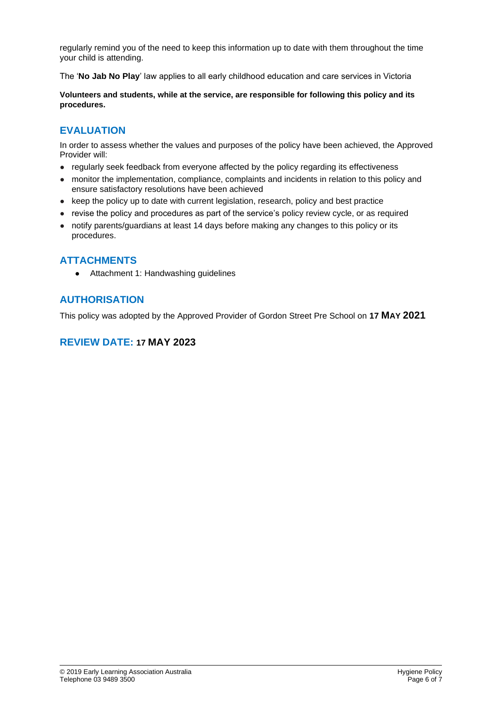regularly remind you of the need to keep this information up to date with them throughout the time your child is attending.

The '**No Jab No Play**' law applies to all early childhood education and care services in Victoria

**Volunteers and students, while at the service, are responsible for following this policy and its procedures.**

### **EVALUATION**

In order to assess whether the values and purposes of the policy have been achieved, the Approved Provider will:

- regularly seek feedback from everyone affected by the policy regarding its effectiveness
- monitor the implementation, compliance, complaints and incidents in relation to this policy and ensure satisfactory resolutions have been achieved
- keep the policy up to date with current legislation, research, policy and best practice
- revise the policy and procedures as part of the service's policy review cycle, or as required
- notify parents/guardians at least 14 days before making any changes to this policy or its procedures.

### **ATTACHMENTS**

● Attachment 1: Handwashing guidelines

### **AUTHORISATION**

This policy was adopted by the Approved Provider of Gordon Street Pre School on **17 MAY 2021**

### **REVIEW DATE: 17 MAY 2023**